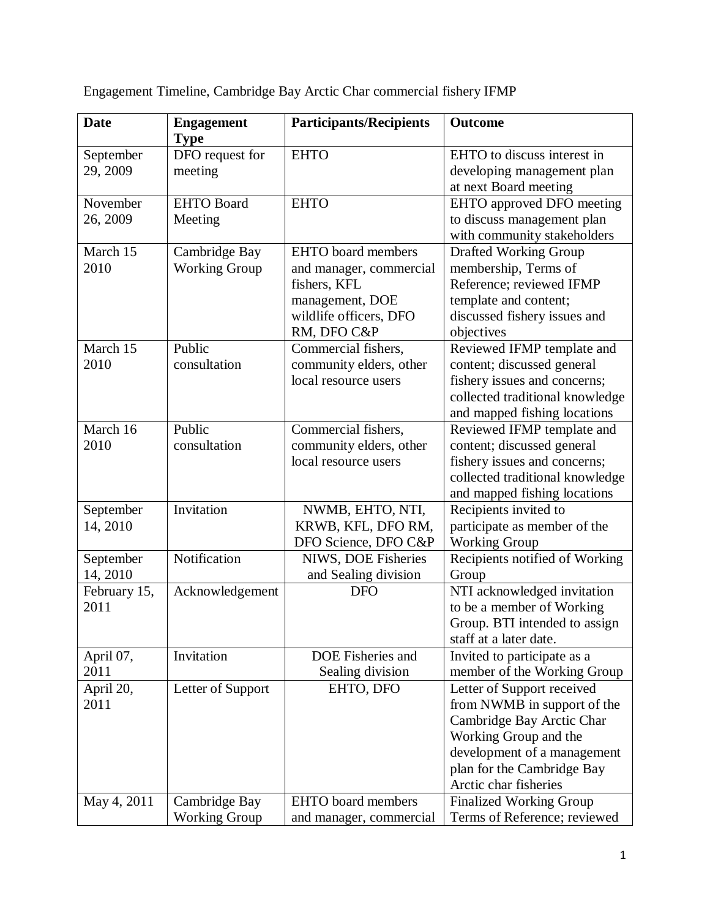| <b>Date</b>           | <b>Engagement</b><br><b>Type</b>      | <b>Participants/Recipients</b>                                                                                                   | <b>Outcome</b>                                                                                                                                                                                        |
|-----------------------|---------------------------------------|----------------------------------------------------------------------------------------------------------------------------------|-------------------------------------------------------------------------------------------------------------------------------------------------------------------------------------------------------|
| September<br>29, 2009 | DFO request for<br>meeting            | <b>EHTO</b>                                                                                                                      | EHTO to discuss interest in<br>developing management plan<br>at next Board meeting                                                                                                                    |
| November<br>26, 2009  | <b>EHTO Board</b><br>Meeting          | <b>EHTO</b>                                                                                                                      | EHTO approved DFO meeting<br>to discuss management plan<br>with community stakeholders                                                                                                                |
| March 15<br>2010      | Cambridge Bay<br><b>Working Group</b> | <b>EHTO</b> board members<br>and manager, commercial<br>fishers, KFL<br>management, DOE<br>wildlife officers, DFO<br>RM, DFO C&P | <b>Drafted Working Group</b><br>membership, Terms of<br>Reference; reviewed IFMP<br>template and content;<br>discussed fishery issues and<br>objectives                                               |
| March 15<br>2010      | Public<br>consultation                | Commercial fishers,<br>community elders, other<br>local resource users                                                           | Reviewed IFMP template and<br>content; discussed general<br>fishery issues and concerns;<br>collected traditional knowledge<br>and mapped fishing locations                                           |
| March 16<br>2010      | Public<br>consultation                | Commercial fishers,<br>community elders, other<br>local resource users                                                           | Reviewed IFMP template and<br>content; discussed general<br>fishery issues and concerns;<br>collected traditional knowledge<br>and mapped fishing locations                                           |
| September<br>14, 2010 | Invitation                            | NWMB, EHTO, NTI,<br>KRWB, KFL, DFO RM,<br>DFO Science, DFO C&P                                                                   | Recipients invited to<br>participate as member of the<br><b>Working Group</b>                                                                                                                         |
| September<br>14, 2010 | Notification                          | NIWS, DOE Fisheries<br>and Sealing division                                                                                      | Recipients notified of Working<br>Group                                                                                                                                                               |
| February 15,<br>2011  | Acknowledgement                       | <b>DFO</b>                                                                                                                       | NTI acknowledged invitation<br>to be a member of Working<br>Group. BTI intended to assign<br>staff at a later date.                                                                                   |
| April 07,<br>2011     | Invitation                            | DOE Fisheries and<br>Sealing division                                                                                            | Invited to participate as a<br>member of the Working Group                                                                                                                                            |
| April 20,<br>2011     | Letter of Support                     | EHTO, DFO                                                                                                                        | Letter of Support received<br>from NWMB in support of the<br>Cambridge Bay Arctic Char<br>Working Group and the<br>development of a management<br>plan for the Cambridge Bay<br>Arctic char fisheries |
| May 4, 2011           | Cambridge Bay<br><b>Working Group</b> | <b>EHTO</b> board members<br>and manager, commercial                                                                             | <b>Finalized Working Group</b><br>Terms of Reference; reviewed                                                                                                                                        |

Engagement Timeline, Cambridge Bay Arctic Char commercial fishery IFMP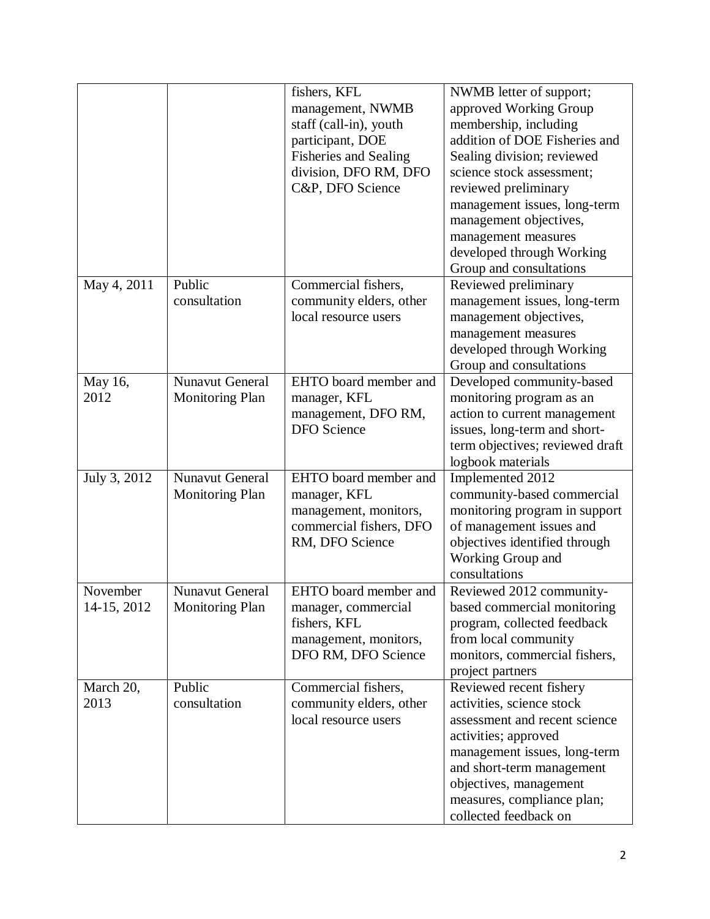|                         |                                                  | fishers, KFL<br>management, NWMB<br>staff (call-in), youth<br>participant, DOE<br><b>Fisheries and Sealing</b><br>division, DFO RM, DFO<br>C&P, DFO Science | NWMB letter of support;<br>approved Working Group<br>membership, including<br>addition of DOE Fisheries and<br>Sealing division; reviewed<br>science stock assessment;<br>reviewed preliminary<br>management issues, long-term<br>management objectives,<br>management measures<br>developed through Working<br>Group and consultations |
|-------------------------|--------------------------------------------------|-------------------------------------------------------------------------------------------------------------------------------------------------------------|-----------------------------------------------------------------------------------------------------------------------------------------------------------------------------------------------------------------------------------------------------------------------------------------------------------------------------------------|
| May 4, 2011             | Public<br>consultation                           | Commercial fishers,<br>community elders, other<br>local resource users                                                                                      | Reviewed preliminary<br>management issues, long-term<br>management objectives,<br>management measures<br>developed through Working<br>Group and consultations                                                                                                                                                                           |
| May 16,<br>2012         | <b>Nunavut General</b><br><b>Monitoring Plan</b> | EHTO board member and<br>manager, KFL<br>management, DFO RM,<br><b>DFO</b> Science                                                                          | Developed community-based<br>monitoring program as an<br>action to current management<br>issues, long-term and short-<br>term objectives; reviewed draft<br>logbook materials                                                                                                                                                           |
| July 3, 2012            | <b>Nunavut General</b><br><b>Monitoring Plan</b> | EHTO board member and<br>manager, KFL<br>management, monitors,<br>commercial fishers, DFO<br>RM, DFO Science                                                | Implemented 2012<br>community-based commercial<br>monitoring program in support<br>of management issues and<br>objectives identified through<br>Working Group and<br>consultations                                                                                                                                                      |
| November<br>14-15, 2012 | Nunavut General<br><b>Monitoring Plan</b>        | EHTO board member and<br>manager, commercial<br>fishers, KFL<br>management, monitors,<br>DFO RM, DFO Science                                                | Reviewed 2012 community-<br>based commercial monitoring<br>program, collected feedback<br>from local community<br>monitors, commercial fishers,<br>project partners                                                                                                                                                                     |
| March 20,<br>2013       | Public<br>consultation                           | Commercial fishers,<br>community elders, other<br>local resource users                                                                                      | Reviewed recent fishery<br>activities, science stock<br>assessment and recent science<br>activities; approved<br>management issues, long-term<br>and short-term management<br>objectives, management<br>measures, compliance plan;<br>collected feedback on                                                                             |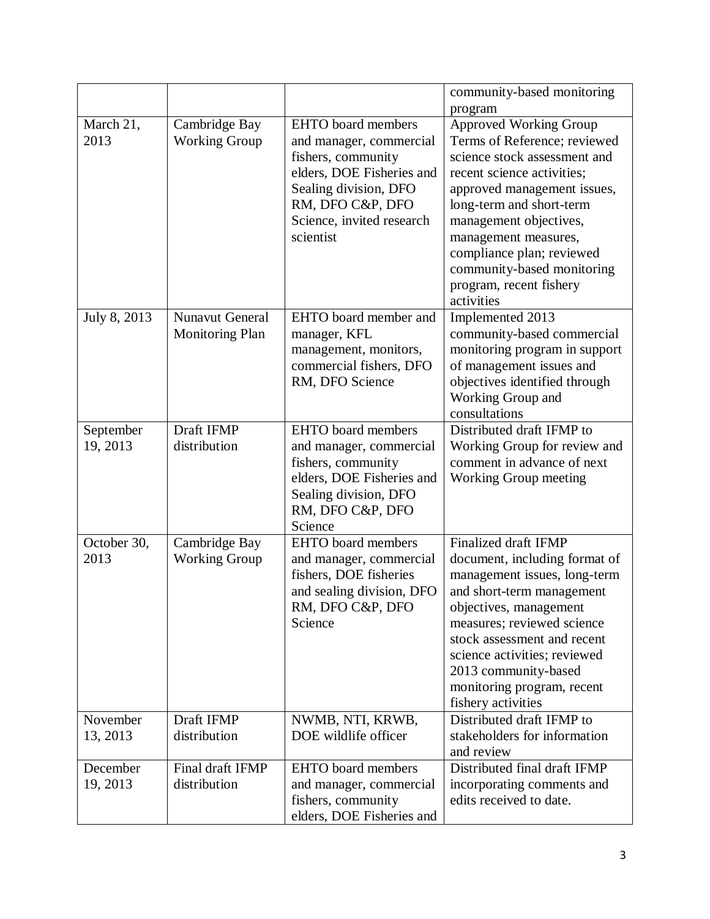|                       |                                                  |                                                                                                                                                                                                | community-based monitoring<br>program                                                                                                                                                                                                                                                                                                 |
|-----------------------|--------------------------------------------------|------------------------------------------------------------------------------------------------------------------------------------------------------------------------------------------------|---------------------------------------------------------------------------------------------------------------------------------------------------------------------------------------------------------------------------------------------------------------------------------------------------------------------------------------|
| March 21,<br>2013     | Cambridge Bay<br><b>Working Group</b>            | <b>EHTO</b> board members<br>and manager, commercial<br>fishers, community<br>elders, DOE Fisheries and<br>Sealing division, DFO<br>RM, DFO C&P, DFO<br>Science, invited research<br>scientist | Approved Working Group<br>Terms of Reference; reviewed<br>science stock assessment and<br>recent science activities;<br>approved management issues,<br>long-term and short-term<br>management objectives,<br>management measures,<br>compliance plan; reviewed<br>community-based monitoring<br>program, recent fishery<br>activities |
| July 8, 2013          | <b>Nunavut General</b><br><b>Monitoring Plan</b> | EHTO board member and<br>manager, KFL<br>management, monitors,<br>commercial fishers, DFO<br>RM, DFO Science                                                                                   | Implemented 2013<br>community-based commercial<br>monitoring program in support<br>of management issues and<br>objectives identified through<br>Working Group and<br>consultations                                                                                                                                                    |
| September<br>19, 2013 | Draft IFMP<br>distribution                       | <b>EHTO</b> board members<br>and manager, commercial<br>fishers, community<br>elders, DOE Fisheries and<br>Sealing division, DFO<br>RM, DFO C&P, DFO<br>Science                                | Distributed draft IFMP to<br>Working Group for review and<br>comment in advance of next<br><b>Working Group meeting</b>                                                                                                                                                                                                               |
| October 30,<br>2013   | Cambridge Bay<br><b>Working Group</b>            | <b>EHTO</b> board members<br>and manager, commercial<br>fishers, DOE fisheries<br>and sealing division, DFO<br>RM, DFO C&P, DFO<br>Science                                                     | Finalized draft IFMP<br>document, including format of<br>management issues, long-term<br>and short-term management<br>objectives, management<br>measures; reviewed science<br>stock assessment and recent<br>science activities; reviewed<br>2013 community-based<br>monitoring program, recent<br>fishery activities                 |
| November<br>13, 2013  | Draft IFMP<br>distribution                       | NWMB, NTI, KRWB,<br>DOE wildlife officer                                                                                                                                                       | Distributed draft IFMP to<br>stakeholders for information<br>and review                                                                                                                                                                                                                                                               |
| December<br>19, 2013  | Final draft IFMP<br>distribution                 | <b>EHTO</b> board members<br>and manager, commercial<br>fishers, community<br>elders, DOE Fisheries and                                                                                        | Distributed final draft IFMP<br>incorporating comments and<br>edits received to date.                                                                                                                                                                                                                                                 |